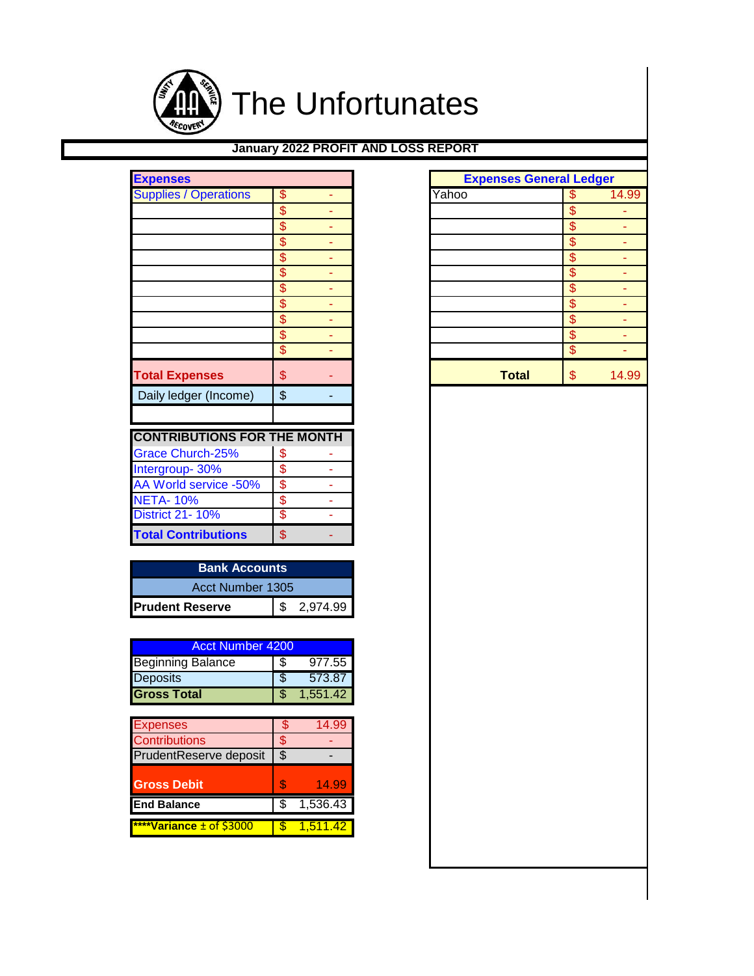

## **January 2022 PROFIT AND LOSS REPORT**

| <b>Expenses</b>                    |                          |   |       | <b>Expenses General Ledger</b> |
|------------------------------------|--------------------------|---|-------|--------------------------------|
| <b>Supplies / Operations</b>       | \$                       |   | Yahoo | \$                             |
|                                    | \$                       |   |       | \$                             |
|                                    | $\overline{\mathcal{S}}$ |   |       | \$                             |
|                                    | \$                       |   |       | \$                             |
|                                    | \$                       | ۰ |       | \$                             |
|                                    | \$                       |   |       | \$                             |
|                                    | \$                       |   |       | \$                             |
|                                    | \$                       |   |       | \$                             |
|                                    | \$                       |   |       | \$                             |
|                                    | \$                       |   |       | \$                             |
|                                    | \$                       |   |       | \$                             |
| <b>Total Expenses</b>              | \$                       |   |       | \$<br><b>Total</b>             |
| Daily ledger (Income)              | $\frac{1}{2}$            |   |       |                                |
| <b>CONTRIBUTIONS FOR THE MONTH</b> |                          |   |       |                                |
| <b>Grace Church-25%</b>            | \$                       |   |       |                                |
| Intergroup-30%                     | \$                       |   |       |                                |
| AA World service -50%              | \$                       |   |       |                                |
| <b>NETA-10%</b>                    | \$                       |   |       |                                |
| <b>District 21-10%</b>             | \$                       |   |       |                                |
| <b>Total Contributions</b>         | \$                       |   |       |                                |

| <b>Bank Accounts</b>   |  |            |  |  |  |  |  |
|------------------------|--|------------|--|--|--|--|--|
| Acct Number 1305       |  |            |  |  |  |  |  |
| <b>Prudent Reserve</b> |  | \$2.974.99 |  |  |  |  |  |

| <b>Acct Number 4200</b>  |    |          |  |  |  |  |  |  |
|--------------------------|----|----------|--|--|--|--|--|--|
| <b>Beginning Balance</b> | 35 | 977.55   |  |  |  |  |  |  |
| <b>Deposits</b>          |    | 573.87   |  |  |  |  |  |  |
| <b>Gross Total</b>       |    | 1,551.42 |  |  |  |  |  |  |

| S | 14.99    |
|---|----------|
| Ж |          |
| S |          |
|   |          |
| S | 14.99    |
|   | 1,536.43 |
|   | 1.511.42 |
|   |          |

| <b>Expenses</b><br><b>Supplies / Operations</b> | \$                       | ٠              |
|-------------------------------------------------|--------------------------|----------------|
|                                                 | $\overline{\mathcal{S}}$ |                |
|                                                 | $\overline{\mathcal{S}}$ |                |
|                                                 | \$                       |                |
|                                                 | $\overline{\mathcal{S}}$ |                |
|                                                 | \$                       |                |
|                                                 | $\overline{\mathcal{S}}$ |                |
|                                                 | \$                       | ٠              |
|                                                 | $\overline{\mathcal{S}}$ | ٠              |
|                                                 | $\overline{\mathcal{S}}$ | ٠              |
|                                                 | \$                       | ÷,             |
|                                                 |                          |                |
| <b>Total Expenses</b>                           | \$                       |                |
| Daily ledger (Income)                           | \$                       | $\blacksquare$ |
|                                                 |                          |                |
|                                                 |                          |                |
| <b>CONTRIBUTIONS FOR THE MONTH</b>              |                          |                |
| Grace Church-25%                                | \$                       |                |
| Intergroup- 30%                                 | \$                       |                |
| AA World service -50%                           | $\overline{\mathbf{S}}$  |                |
| <b>NETA-10%</b>                                 | \$                       |                |
| <b>District 21-10%</b>                          | \$                       |                |
| <b>Total Contributions</b>                      | \$                       |                |
|                                                 |                          |                |
| <b>Bank Accounts</b>                            |                          |                |
| Acct Number 1305                                |                          |                |
|                                                 |                          |                |
| <b>Prudent Reserve</b>                          | \$                       | 2,974.99       |
|                                                 |                          |                |
| <b>Acct Number 4200</b>                         |                          |                |
| <b>Beginning Balance</b>                        | \$                       | 977.55         |
| Deposits                                        | $\overline{\$}$          | 573.87         |
| <b>Gross Total</b>                              | \$                       | 1,551.42       |
|                                                 |                          |                |
| <b>Expenses</b>                                 | \$                       | 14.99          |
| Contributions                                   | $\frac{1}{2}$            |                |
| PrudentReserve deposit                          | $\overline{\$}$          |                |
|                                                 |                          |                |
| <b>Gross Debit</b>                              | \$                       | 14.99          |
| <b>End Balance</b>                              | \$                       | 1,536.43       |
|                                                 |                          |                |
|                                                 |                          |                |
| ****Variance ± of \$3000                        | $\overline{\mathcal{S}}$ | 1,511.42       |